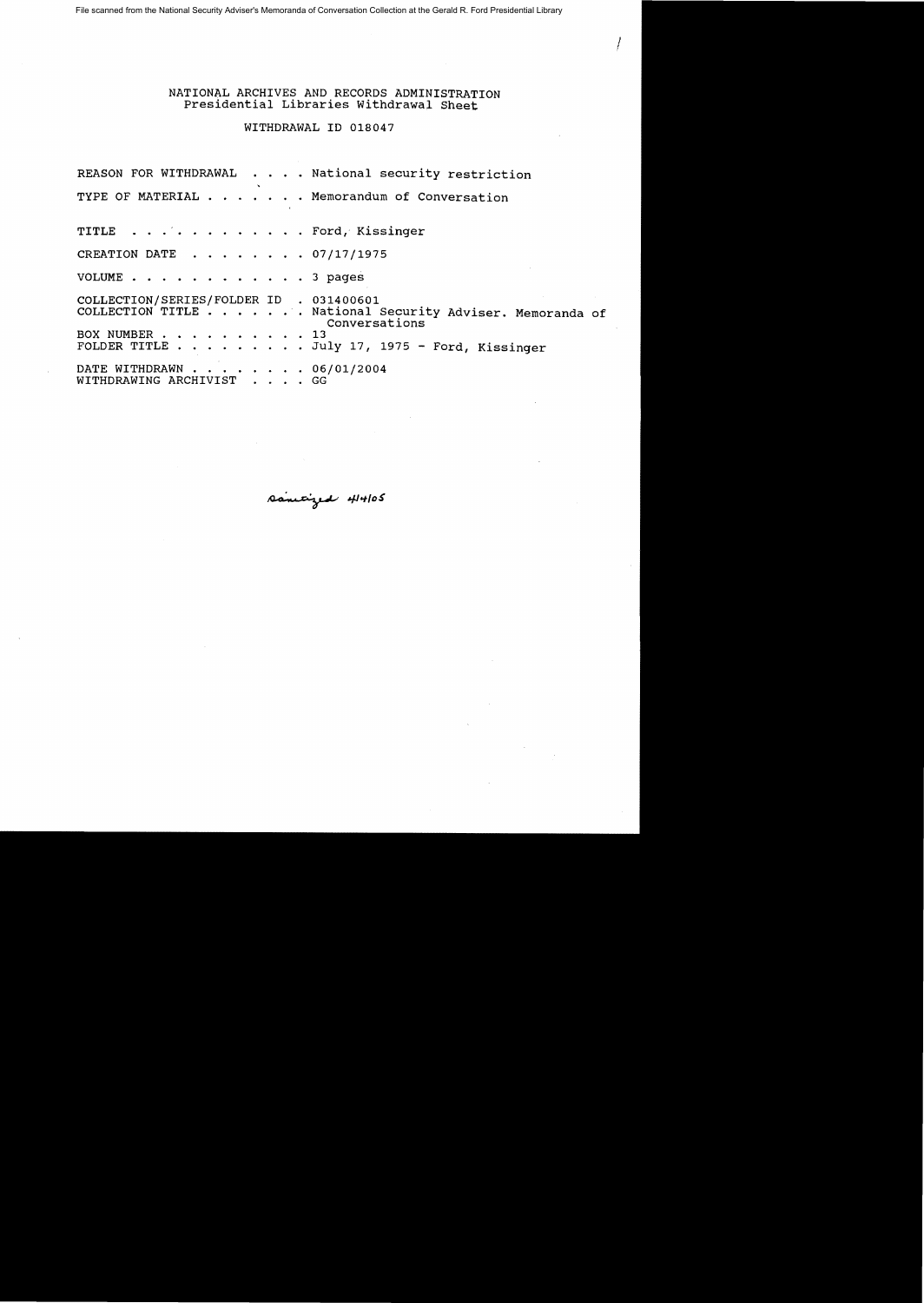File scanned from the National Security Adviser's Memoranda of Conversation Collection at the Gerald R. Ford Presidential Library

## NATIONAL ARCHIVES AND RECORDS ADMINISTRATION Presidential Libraries Withdrawal Sheet

 $\ell_{\parallel}$ 

WITHDRAWAL ID 018047

REASON FOR WITHDRAWAL . . . . National security restriction TYPE OF MATERIAL . . . . . . Memorandum of Conversation TITLE . . . . . . . . . . . . Ford, Kissinger CREATION DATE  $\ldots$   $\ldots$   $\ldots$  07/17/1975 VOLUME . . . . . . . . . . . . 3 pages COLLECTION/SERIES/FOLDER ID . 031400601 COLLECTION TITLE ..... National security Adviser. Memoranda of Conversations<br>13 BOX NUMBER . . . . . . . . . FOLDER TITLE . . . . . . . . July 17, 1975 - Ford, Kissinger DATE WITHDRAWN . . . . . . . . 06/01/2004 WITHDRAWING ARCHIVIST . . . . GG

sanityed 414105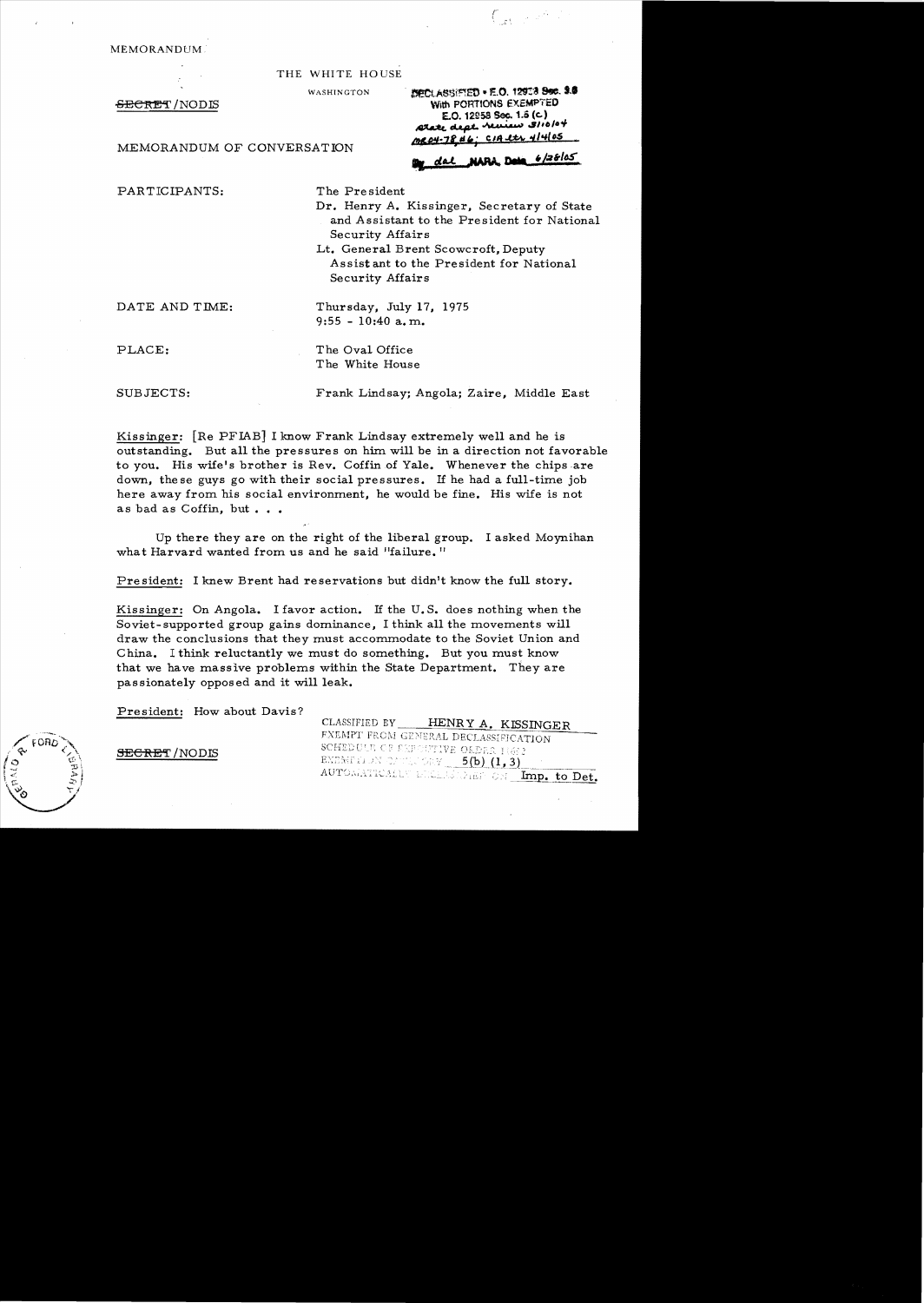MEMORANDUM

THE WHITE HOUSE

WASHINGTON

SECRET / NOD IS

MEMORANDUM OF CONVERSATION

SECLASSIFIED . F.O. 12913 800. 3.5 With PORTIONS EXEMPTED E.O. 12958 Sec. 1.5 (c) state dept. heview 3/10/04 MR04-78 #6: CIA et 4/4/05

*r*  i

dal NARA Dela 6/28/05

PARTICIPANTS: The President

Dr. Henry A. Kissinger. Secretary of State and Assistant to the President for National Security Affairs

Lt. General Brent Scowcroft. Deputy Assist ant to the Pre sident for National Security Affairs

DATE AND TIME: Thursday, July 17, 1975

PLACE: The Oval Office The White House

 $9:55 - 10:40$  a.m.

SUBJECTS: Frank Lindsay; Angola; Zaire. Middle East

Kissinger: [Re PFIAB] I know Frank Lindsay extremely well and he is outstanding. But all the pressures on him. will be in a direction not favorable to you. His wife's brother is Rev. Coffin of Yale. Whenever the chips are down. the se guys go with their social pressures. If he had a full-time job here away from his social environment. he would be fine. His wife is not as bad as Coffin, but . . .

Up there they are on the right of the liberal group. I asked Moynihan what Harvard wanted from us and he said "failure."

President: I knew Brent had reservations but didn't know the full story.

Kissinger: On Angola. I favor action. If the U. S. does nothing when the Soviet-supported group gains dominance, I think all the movements will draw the conclusions that they must accommodate to the Soviet Union and China. I think reluctantly we must do something. But you must know that we have massive problems within the State Department. They are passionately opposed and it will leak.

President: How about Davis?

CLASSIFIED BY **HENRY A. KISSINGER** FXEMPT FROM GENERAL DECLASSIFICATION SECRET/NODIS SCHEDULE CREETIVE ORDER 11632 **EXEMPTEDN ONTERVAL**  $5(b)$  **(1,3)** AUTOMATICALLY DECLASSIONS ON Imp. to Det.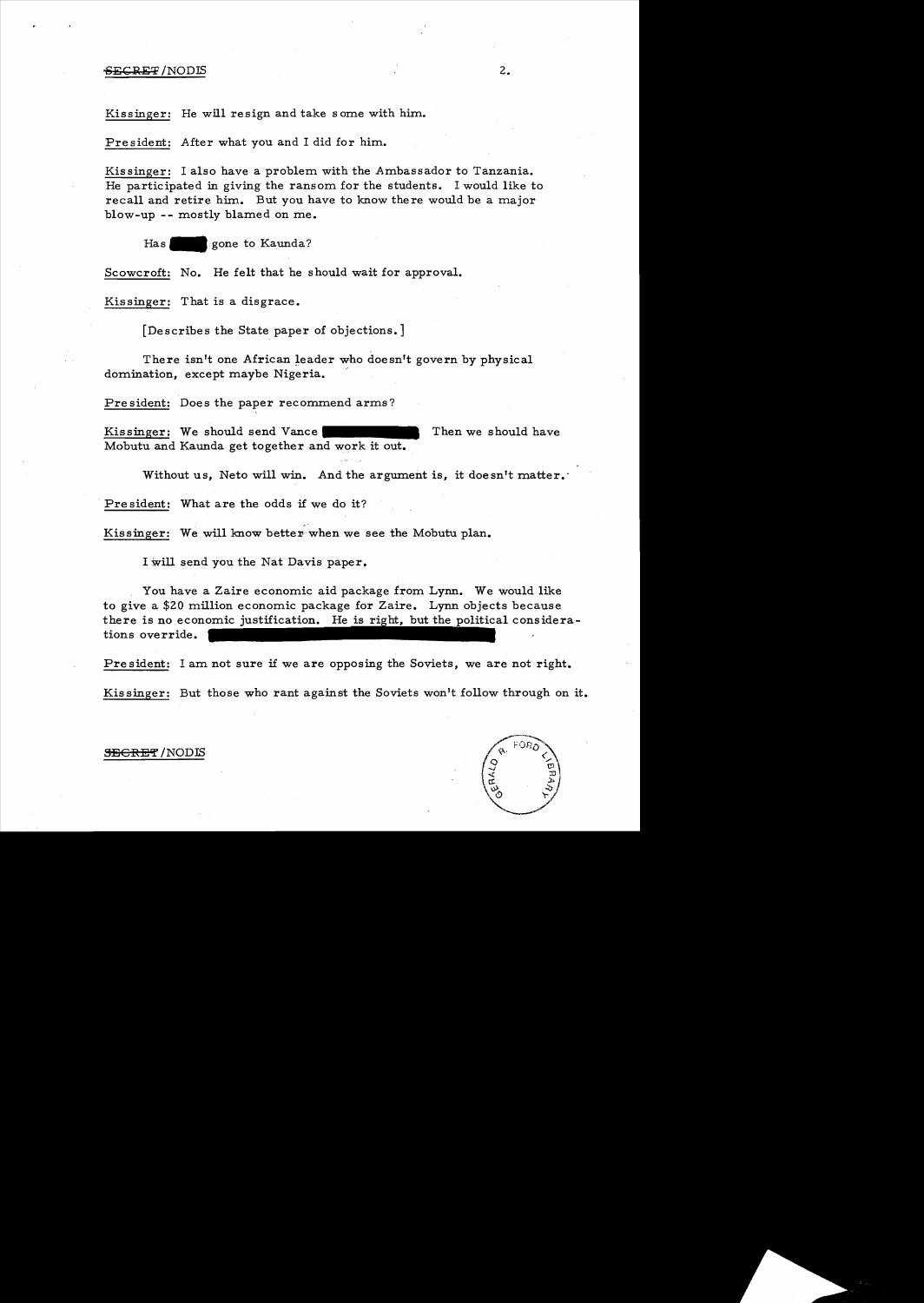### $-6.5$   $-6.5$   $-6.5$   $-6.5$   $-6.5$   $-6.5$   $-6.5$   $-6.5$   $-6.5$   $-6.5$   $-6.5$   $-6.5$   $-6.5$   $-6.5$   $-6.5$   $-6.5$   $-6.5$   $-6.5$   $-6.5$   $-6.5$   $-6.5$   $-6.5$   $-6.5$   $-6.5$   $-6.5$   $-6.5$   $-6.5$   $-6.5$   $-6.5$   $-6.5$   $-6.5$   $-6.$

Kissinger: He will resign and take some with him.

President: After what you and I did for him.

Kissinger: I also have a problem with the Ambassador to Tanzania. He participated in giving the ransom for the students. I would like to recall and retire him. But you have to know there would be a major blow-up -- mostly blamed on me.

Has gone to Kaunda?

Scowcroft: No. He felt that he should wait for approval.

Kissinger: That is a disgrace.

[Describes the State paper of objections.]

There isn't one African leader who doesn't govern by physical domination, except maybe Nigeria.

Pre sident: Does the paper recommend arms?

Kissinger: We should send Vance **•••••** Then we should have Mobutu and Kaunda get together and work it out.

Without us, Neto will win. And the argument is, it doesn't matter.'

President: What are the odds if we do it?

Kissinger: We will know better when we see the Mobutu plan.

.,.

I will send you the Nat Davis paper.

You have a Zaire economic aid package from Lynn. We would like to give a \$20 million economic package for Zaire. Lynn objects because there is no economic justification. He is right, but the political considerations override.

President: I am not sure if we are opposing the Soviets, we are not right.

Kissinger: But those who rant against the Soviets won't follow through on it.



<del>SECRET</del> /NODIS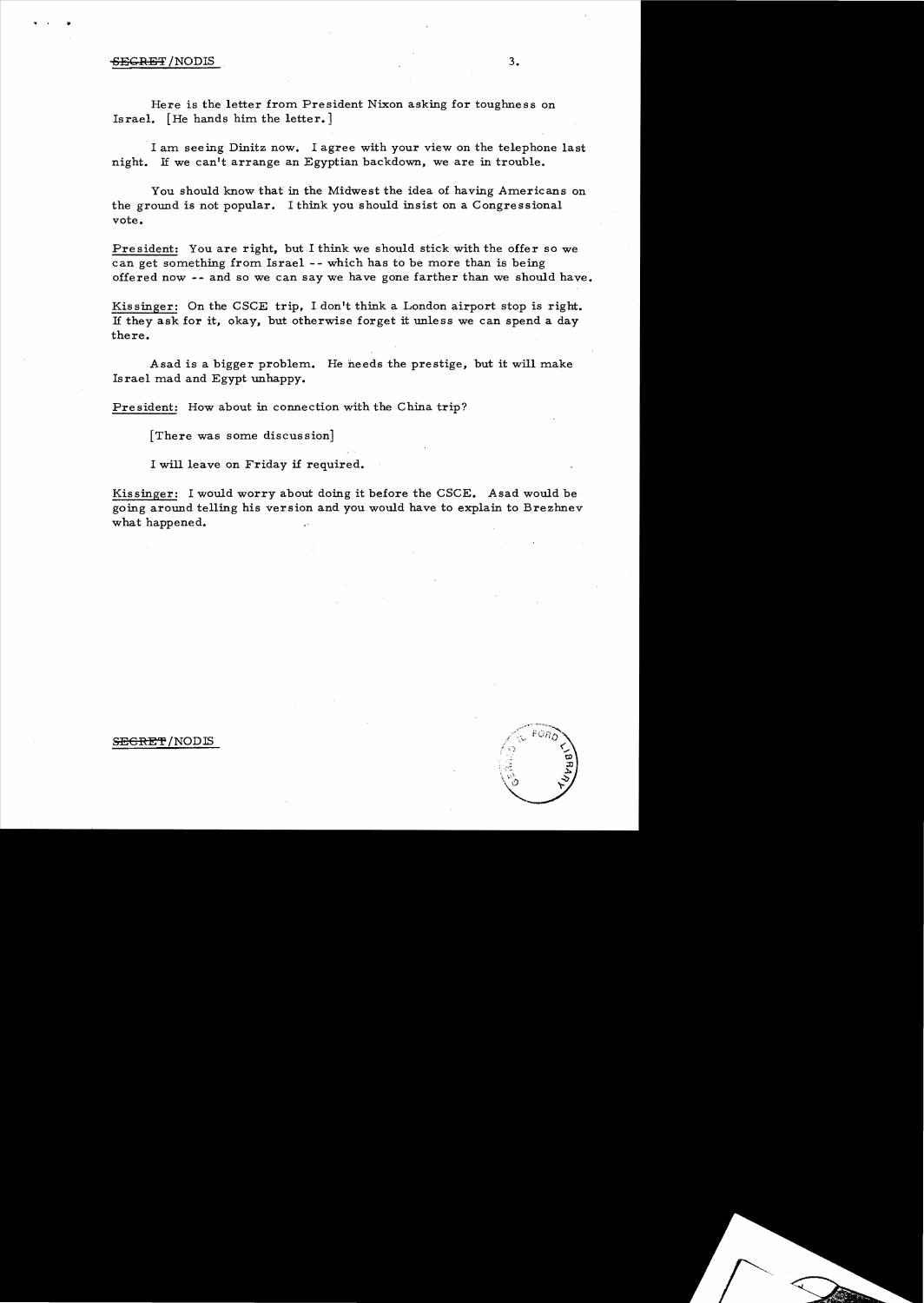### SECRET /NODIS 3.

•

Here is the letter from President Nixon asking for toughness on Israel. [He hands him the letter.]

I am seeing Dinitz now. I agree with your view on the telephone last night. If we can't arrange an Egyptian backdown, we are in trouble.

You should know that in the Midwest the idea of having Americans on the ground is not popular. I think you should insist on a Congressional vote.

President: You are right, but I think we should stick with the offer so we can get something from Israel -- which has to be more than is being offered now **--** and so we can say we have gone farther than we should have.

Kissinger: On the CSCE trip, I don't think a London airport stop is right. If they ask for it, okay, but otherwise forget it unless we can spend a day there.

Asad is a bigger problem. He needs the prestige, but it will make Israel mad and Egypt unhappy.

President: How about in connection with the China trip?

[There was some discussion]

I will leave on Friday if required.

Kissinger: I would worry about doing it before the CSCE. Asad would be going around telling his version and you would have to explain to Brezhnev what happened.

#### S<del>ECRET</del>/NODIS